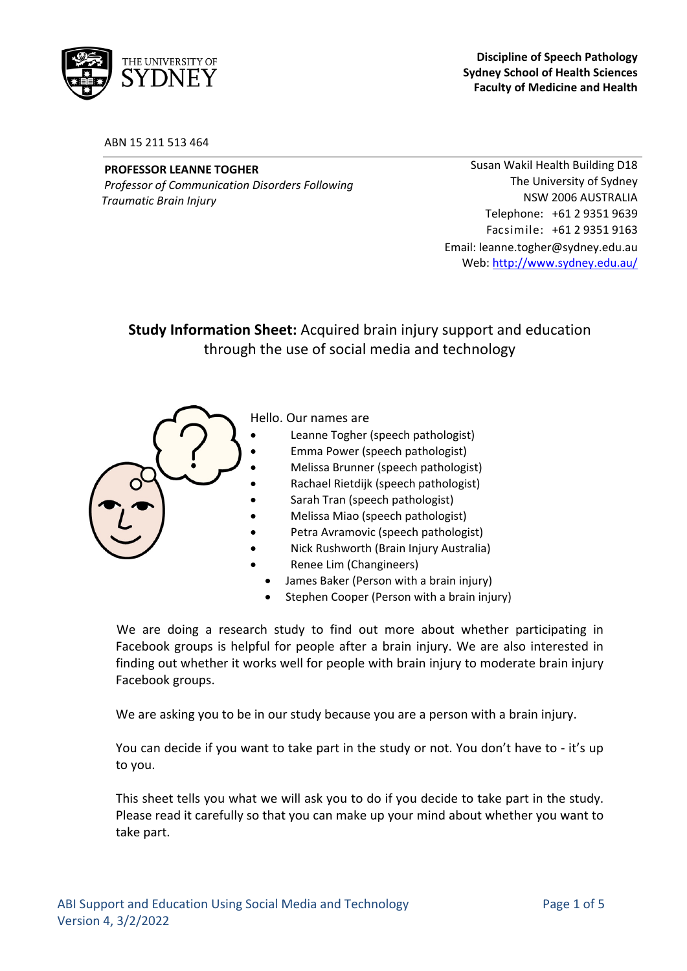

#### ABN 15 211 513 464

#### **PROFESSOR LEANNE TOGHER**

*Professor of Communication Disorders Following Traumatic Brain Injury*

Susan Wakil Health Building D18 The University of Sydney NSW 2006 AUSTRALIA Telephone: +61 2 9351 9639 Facsimile: +61 2 9351 9163 Email: leanne.togher@sydney.edu.au Web: http://www.sydney.edu.au/

# **Study Information Sheet:** Acquired brain injury support and education through the use of social media and technology



- James Baker (Person with a brain injury)
- Stephen Cooper (Person with a brain injury)

We are doing a research study to find out more about whether participating in Facebook groups is helpful for people after a brain injury. We are also interested in finding out whether it works well for people with brain injury to moderate brain injury Facebook groups.

We are asking you to be in our study because you are a person with a brain injury.

You can decide if you want to take part in the study or not. You don't have to ‐ it's up to you.

This sheet tells you what we will ask you to do if you decide to take part in the study. Please read it carefully so that you can make up your mind about whether you want to take part.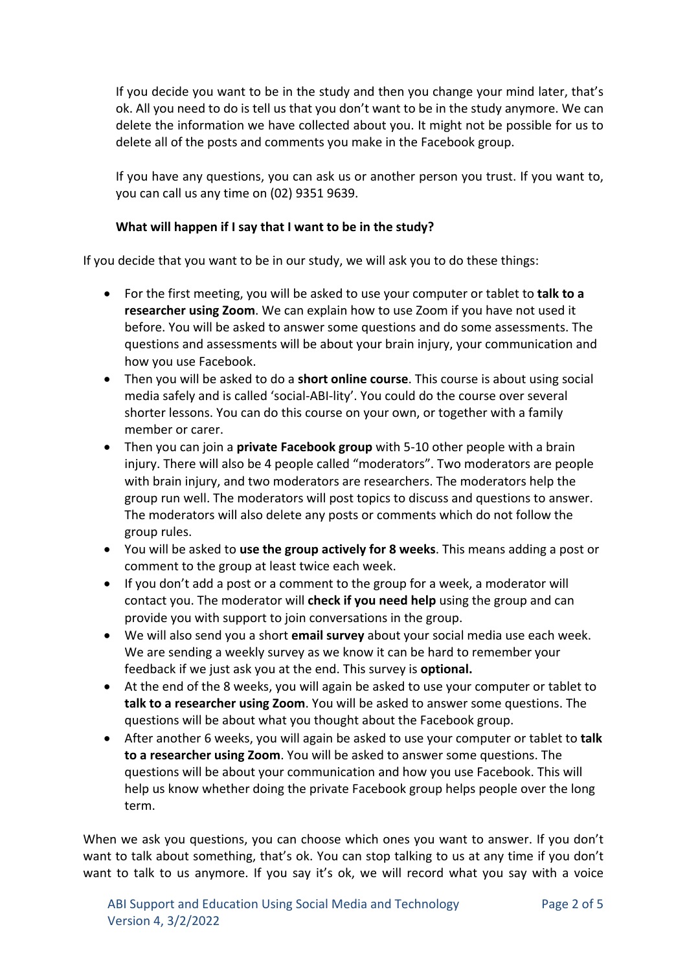If you decide you want to be in the study and then you change your mind later, that's ok. All you need to do is tell us that you don't want to be in the study anymore. We can delete the information we have collected about you. It might not be possible for us to delete all of the posts and comments you make in the Facebook group.

If you have any questions, you can ask us or another person you trust. If you want to, you can call us any time on (02) 9351 9639.

# **What will happen if I say that I want to be in the study?**

If you decide that you want to be in our study, we will ask you to do these things:

- For the first meeting, you will be asked to use your computer or tablet to **talk to a researcher using Zoom**. We can explain how to use Zoom if you have not used it before. You will be asked to answer some questions and do some assessments. The questions and assessments will be about your brain injury, your communication and how you use Facebook.
- Then you will be asked to do a **short online course**. This course is about using social media safely and is called 'social‐ABI‐lity'. You could do the course over several shorter lessons. You can do this course on your own, or together with a family member or carer.
- Then you can join a **private Facebook group** with 5‐10 other people with a brain injury. There will also be 4 people called "moderators". Two moderators are people with brain injury, and two moderators are researchers. The moderators help the group run well. The moderators will post topics to discuss and questions to answer. The moderators will also delete any posts or comments which do not follow the group rules.
- You will be asked to **use the group actively for 8 weeks**. This means adding a post or comment to the group at least twice each week.
- If you don't add a post or a comment to the group for a week, a moderator will contact you. The moderator will **check if you need help** using the group and can provide you with support to join conversations in the group.
- We will also send you a short **email survey** about your social media use each week. We are sending a weekly survey as we know it can be hard to remember your feedback if we just ask you at the end. This survey is **optional.**
- At the end of the 8 weeks, you will again be asked to use your computer or tablet to **talk to a researcher using Zoom**. You will be asked to answer some questions. The questions will be about what you thought about the Facebook group.
- After another 6 weeks, you will again be asked to use your computer or tablet to **talk to a researcher using Zoom**. You will be asked to answer some questions. The questions will be about your communication and how you use Facebook. This will help us know whether doing the private Facebook group helps people over the long term.

When we ask you questions, you can choose which ones you want to answer. If you don't want to talk about something, that's ok. You can stop talking to us at any time if you don't want to talk to us anymore. If you say it's ok, we will record what you say with a voice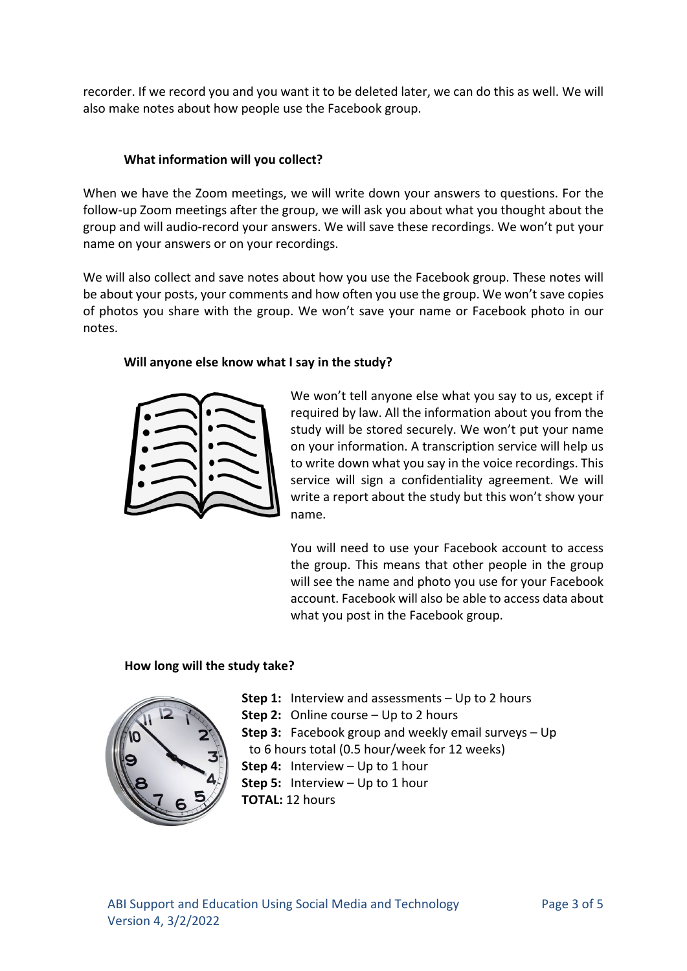recorder. If we record you and you want it to be deleted later, we can do this as well. We will also make notes about how people use the Facebook group.

# **What information will you collect?**

When we have the Zoom meetings, we will write down your answers to questions. For the follow-up Zoom meetings after the group, we will ask you about what you thought about the group and will audio‐record your answers. We will save these recordings. We won't put your name on your answers or on your recordings.

We will also collect and save notes about how you use the Facebook group. These notes will be about your posts, your comments and how often you use the group. We won't save copies of photos you share with the group. We won't save your name or Facebook photo in our notes.

## **Will anyone else know what I say in the study?**



We won't tell anyone else what you say to us, except if required by law. All the information about you from the study will be stored securely. We won't put your name on your information. A transcription service will help us to write down what you say in the voice recordings. This service will sign a confidentiality agreement. We will write a report about the study but this won't show your name.

You will need to use your Facebook account to access the group. This means that other people in the group will see the name and photo you use for your Facebook account. Facebook will also be able to access data about what you post in the Facebook group.

## **How long will the study take?**



**Step 1:** Interview and assessments – Up to 2 hours **Step 2:** Online course – Up to 2 hours **Step 3:** Facebook group and weekly email surveys – Up to 6 hours total (0.5 hour/week for 12 weeks) **Step 4:** Interview – Up to 1 hour **Step 5:** Interview – Up to 1 hour **TOTAL:** 12 hours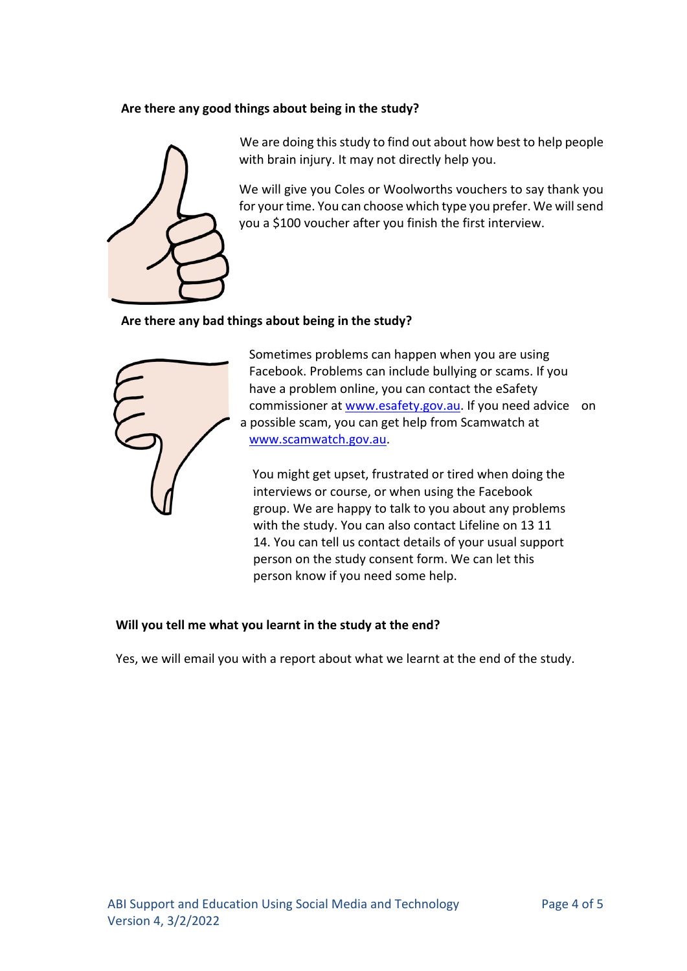# **Are there any good things about being in the study?**



We are doing this study to find out about how best to help people with brain injury. It may not directly help you.

We will give you Coles or Woolworths vouchers to say thank you for your time. You can choose which type you prefer. We willsend you a \$100 voucher after you finish the first interview.

# **Are there any bad things about being in the study?**



Sometimes problems can happen when you are using Facebook. Problems can include bullying or scams. If you have a problem online, you can contact the eSafety commissioner at www.esafety.gov.au. If you need advice on a possible scam, you can get help from Scamwatch at www.scamwatch.gov.au.

You might get upset, frustrated or tired when doing the interviews or course, or when using the Facebook group. We are happy to talk to you about any problems with the study. You can also contact Lifeline on 13 11 14. You can tell us contact details of your usual support person on the study consent form. We can let this person know if you need some help.

## **Will you tell me what you learnt in the study at the end?**

Yes, we will email you with a report about what we learnt at the end of the study.